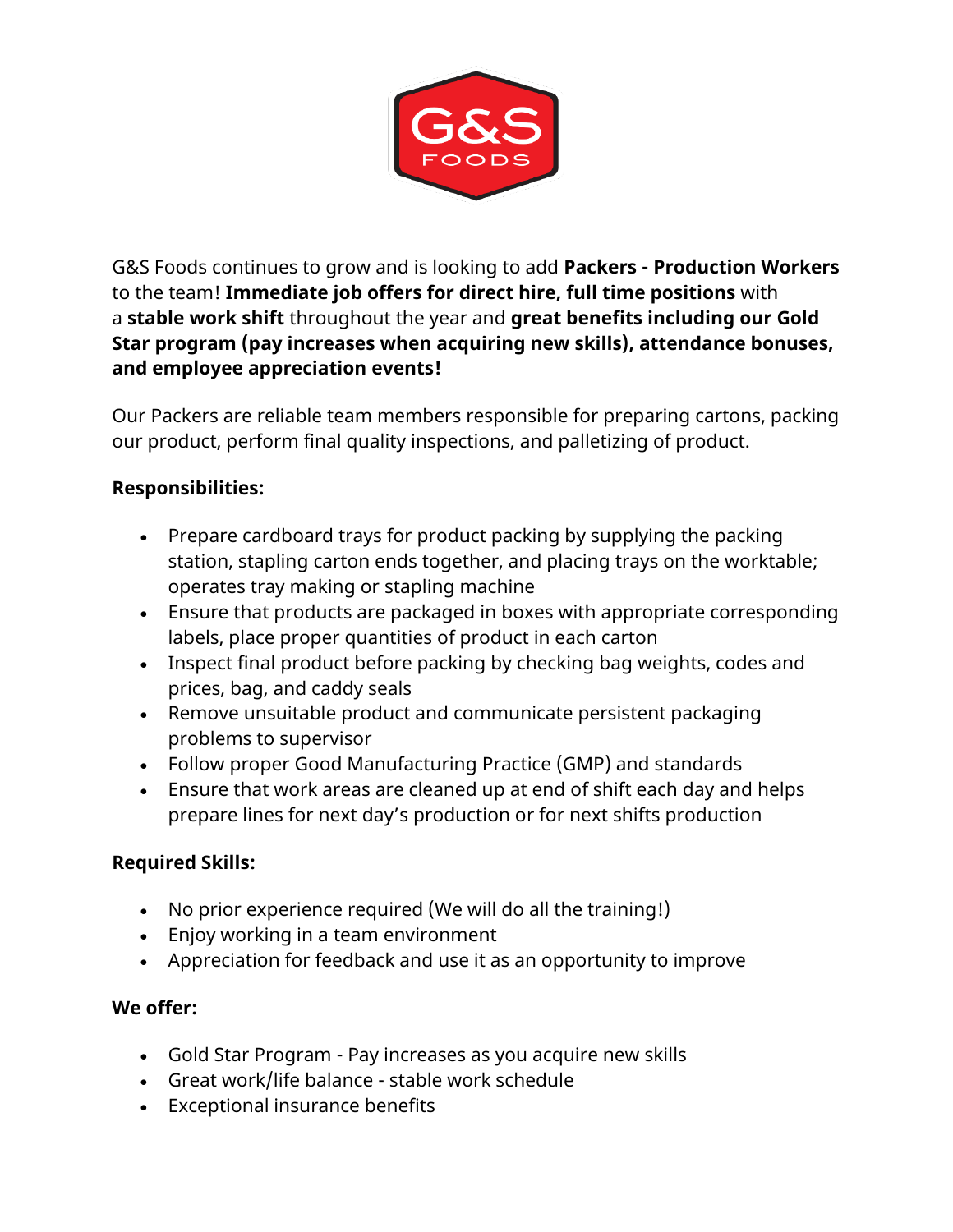

G&S Foods continues to grow and is looking to add **Packers - Production Workers**  to the team! **Immediate job offers for direct hire, full time positions** with a **stable work shift** throughout the year and **great benefits including our Gold Star program (pay increases when acquiring new skills), attendance bonuses, and employee appreciation events!**

Our Packers are reliable team members responsible for preparing cartons, packing our product, perform final quality inspections, and palletizing of product.

## **Responsibilities:**

- Prepare cardboard trays for product packing by supplying the packing station, stapling carton ends together, and placing trays on the worktable; operates tray making or stapling machine
- Ensure that products are packaged in boxes with appropriate corresponding labels, place proper quantities of product in each carton
- Inspect final product before packing by checking bag weights, codes and prices, bag, and caddy seals
- Remove unsuitable product and communicate persistent packaging problems to supervisor
- Follow proper Good Manufacturing Practice (GMP) and standards
- Ensure that work areas are cleaned up at end of shift each day and helps prepare lines for next day's production or for next shifts production

## **Required Skills:**

- No prior experience required (We will do all the training!)
- Enjoy working in a team environment
- Appreciation for feedback and use it as an opportunity to improve

## **We offer:**

- Gold Star Program Pay increases as you acquire new skills
- Great work/life balance stable work schedule
- Exceptional insurance benefits